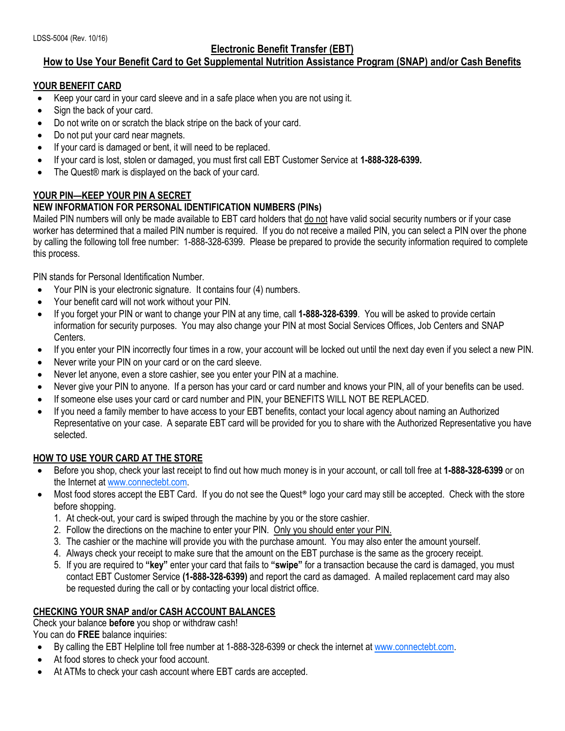# **Electronic Benefit Transfer (EBT)**

# **How to Use Your Benefit Card to Get Supplemental Nutrition Assistance Program (SNAP) and/or Cash Benefits**

### **YOUR BENEFIT CARD**

- Keep your card in your card sleeve and in a safe place when you are not using it.
- Sign the back of your card.
- Do not write on or scratch the black stripe on the back of your card.
- Do not put your card near magnets.
- If your card is damaged or bent, it will need to be replaced.
- If your card is lost, stolen or damaged, you must first call EBT Customer Service at **1-888-328-6399.**
- The Quest® mark is displayed on the back of your card.

# **YOUR PIN—KEEP YOUR PIN A SECRET**

## **NEW INFORMATION FOR PERSONAL IDENTIFICATION NUMBERS (PINs)**

Mailed PIN numbers will only be made available to EBT card holders that do not have valid social security numbers or if your case worker has determined that a mailed PIN number is required. If you do not receive a mailed PIN, you can select a PIN over the phone by calling the following toll free number: 1-888-328-6399. Please be prepared to provide the security information required to complete this process.

PIN stands for Personal Identification Number.

- Your PIN is your electronic signature. It contains four (4) numbers.
- Your benefit card will not work without your PIN.
- If you forget your PIN or want to change your PIN at any time, call **1-888-328-6399**. You will be asked to provide certain information for security purposes. You may also change your PIN at most Social Services Offices, Job Centers and SNAP **Centers**
- If you enter your PIN incorrectly four times in a row, your account will be locked out until the next day even if you select a new PIN.
- Never write your PIN on your card or on the card sleeve.
- Never let anyone, even a store cashier, see you enter your PIN at a machine.
- Never give your PIN to anyone. If a person has your card or card number and knows your PIN, all of your benefits can be used.
- If someone else uses your card or card number and PIN, your BENEFITS WILL NOT BE REPLACED.
- If you need a family member to have access to your EBT benefits, contact your local agency about naming an Authorized Representative on your case. A separate EBT card will be provided for you to share with the Authorized Representative you have selected.

## **HOW TO USE YOUR CARD AT THE STORE**

- Before you shop, check your last receipt to find out how much money is in your account, or call toll free at **1-888-328-6399** or on the Internet a[t www.connectebt.com.](file:///C:/Users/am9865/AppData/Local/Microsoft/Windows/Temporary%20Internet%20Files/Content.Outlook/4846I3V8/www.connectebt.com)
- Most food stores accept the EBT Card. If you do not see the Quest<sup>®</sup> logo your card may still be accepted. Check with the store before shopping.
	- 1. At check-out, your card is swiped through the machine by you or the store cashier.
	- 2. Follow the directions on the machine to enter your PIN. Only you should enter your PIN.
	- 3. The cashier or the machine will provide you with the purchase amount. You may also enter the amount yourself.
	- 4. Always check your receipt to make sure that the amount on the EBT purchase is the same as the grocery receipt.
	- 5. If you are required to **"key"** enter your card that fails to **"swipe"** for a transaction because the card is damaged, you must contact EBT Customer Service **(1-888-328-6399)** and report the card as damaged. A mailed replacement card may also be requested during the call or by contacting your local district office.

## **CHECKING YOUR SNAP and/or CASH ACCOUNT BALANCES**

Check your balance **before** you shop or withdraw cash!

You can do **FREE** balance inquiries:

- By calling the EBT Helpline toll free number at 1-888-328-6399 or check the internet at [www.connectebt.com.](http://www.connectebt.com/)
- At food stores to check your food account.
- At ATMs to check your cash account where EBT cards are accepted.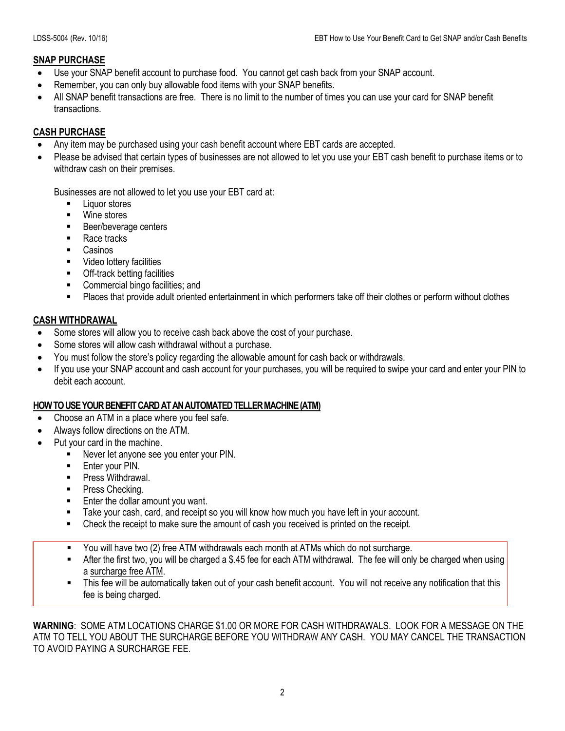## **SNAP PURCHASE**

- Use your SNAP benefit account to purchase food. You cannot get cash back from your SNAP account.
- Remember, you can only buy allowable food items with your SNAP benefits.
- All SNAP benefit transactions are free. There is no limit to the number of times you can use your card for SNAP benefit transactions.

## **CASH PURCHASE**

- Any item may be purchased using your cash benefit account where EBT cards are accepted.
- Please be advised that certain types of businesses are not allowed to let you use your EBT cash benefit to purchase items or to withdraw cash on their premises.

Businesses are not allowed to let you use your EBT card at:

- Liquor stores
- Wine stores
- Beer/beverage centers
- Race tracks
- **Casinos**
- Video lottery facilities
- **•** Off-track betting facilities
- **EXECOMMERCIAL COMMERCIAL COMMERCIAL EXECUTE:** and
- **Places that provide adult oriented entertainment in which performers take off their clothes or perform without clothes**

## **CASH WITHDRAWAL**

- Some stores will allow you to receive cash back above the cost of your purchase.
- Some stores will allow cash withdrawal without a purchase.
- You must follow the store's policy regarding the allowable amount for cash back or withdrawals.
- If you use your SNAP account and cash account for your purchases, you will be required to swipe your card and enter your PIN to debit each account.

## **HOW TO USE YOUR BENEFIT CARD AT AN AUTOMATED TELLER MACHINE(ATM)**

- Choose an ATM in a place where you feel safe.
- Always follow directions on the ATM.
- Put your card in the machine.
	- Never let anyone see you enter your PIN.
		- Enter your PIN.
		- **Press Withdrawal.**
		- Press Checking.
		- **Enter the dollar amount you want.**
		- **Take your cash, card, and receipt so you will know how much you have left in your account.**
		- Check the receipt to make sure the amount of cash you received is printed on the receipt.
		- You will have two (2) free ATM withdrawals each month at ATMs which do not surcharge.
		- After the first two, you will be charged a \$.45 fee for each ATM withdrawal. The fee will only be charged when using a surcharge free ATM.
		- This fee will be automatically taken out of your cash benefit account. You will not receive any notification that this fee is being charged.

**WARNING**: SOME ATM LOCATIONS CHARGE \$1.00 OR MORE FOR CASH WITHDRAWALS. LOOK FOR A MESSAGE ON THE ATM TO TELL YOU ABOUT THE SURCHARGE BEFORE YOU WITHDRAW ANY CASH. YOU MAY CANCEL THE TRANSACTION TO AVOID PAYING A SURCHARGE FEE.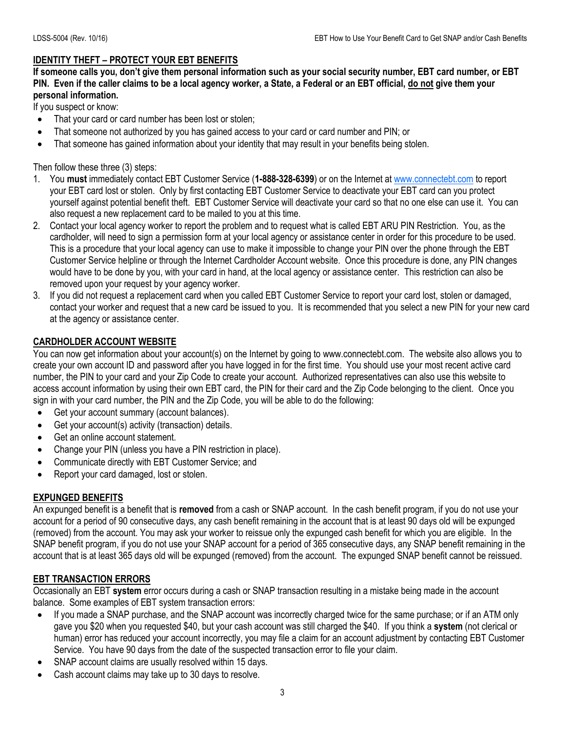#### **IDENTITY THEFT – PROTECT YOUR EBT BENEFITS**

**If someone calls you, don't give them personal information such as your social security number, EBT card number, or EBT PIN. Even if the caller claims to be a local agency worker, a State, a Federal or an EBT official, do not give them your personal information.**

If you suspect or know:

- That your card or card number has been lost or stolen;
- That someone not authorized by you has gained access to your card or card number and PIN; or
- That someone has gained information about your identity that may result in your benefits being stolen.

Then follow these three (3) steps:

- 1. You **must** immediately contact EBT Customer Service (**1-888-328-6399**) or on the Internet at [www.connectebt.com](http://www.connectebt.com/) to report your EBT card lost or stolen. Only by first contacting EBT Customer Service to deactivate your EBT card can you protect yourself against potential benefit theft. EBT Customer Service will deactivate your card so that no one else can use it. You can also request a new replacement card to be mailed to you at this time.
- 2. Contact your local agency worker to report the problem and to request what is called EBT ARU PIN Restriction. You, as the cardholder, will need to sign a permission form at your local agency or assistance center in order for this procedure to be used. This is a procedure that your local agency can use to make it impossible to change your PIN over the phone through the EBT Customer Service helpline or through the Internet Cardholder Account website. Once this procedure is done, any PIN changes would have to be done by you, with your card in hand, at the local agency or assistance center. This restriction can also be removed upon your request by your agency worker.
- 3. If you did not request a replacement card when you called EBT Customer Service to report your card lost, stolen or damaged, contact your worker and request that a new card be issued to you. It is recommended that you select a new PIN for your new card at the agency or assistance center.

#### **CARDHOLDER ACCOUNT WEBSITE**

You can now get information about your account(s) on the Internet by going to www.connectebt.com. The website also allows you to create your own account ID and password after you have logged in for the first time. You should use your most recent active card number, the PIN to your card and your Zip Code to create your account. Authorized representatives can also use this website to access account information by using their own EBT card, the PIN for their card and the Zip Code belonging to the client. Once you sign in with your card number, the PIN and the Zip Code, you will be able to do the following:

- Get your account summary (account balances).
- Get your account(s) activity (transaction) details.
- Get an online account statement.
- Change your PIN (unless you have a PIN restriction in place).
- Communicate directly with EBT Customer Service; and
- Report your card damaged, lost or stolen.

#### **EXPUNGED BENEFITS**

An expunged benefit is a benefit that is **removed** from a cash or SNAP account. In the cash benefit program, if you do not use your account for a period of 90 consecutive days, any cash benefit remaining in the account that is at least 90 days old will be expunged (removed) from the account. You may ask your worker to reissue only the expunged cash benefit for which you are eligible. In the SNAP benefit program, if you do not use your SNAP account for a period of 365 consecutive days, any SNAP benefit remaining in the account that is at least 365 days old will be expunged (removed) from the account. The expunged SNAP benefit cannot be reissued.

#### **EBT TRANSACTION ERRORS**

Occasionally an EBT **system** error occurs during a cash or SNAP transaction resulting in a mistake being made in the account balance. Some examples of EBT system transaction errors:

- If you made a SNAP purchase, and the SNAP account was incorrectly charged twice for the same purchase; or if an ATM only gave you \$20 when you requested \$40, but your cash account was still charged the \$40. If you think a **system** (not clerical or human) error has reduced your account incorrectly, you may file a claim for an account adjustment by contacting EBT Customer Service. You have 90 days from the date of the suspected transaction error to file your claim.
- SNAP account claims are usually resolved within 15 days.
- Cash account claims may take up to 30 days to resolve.